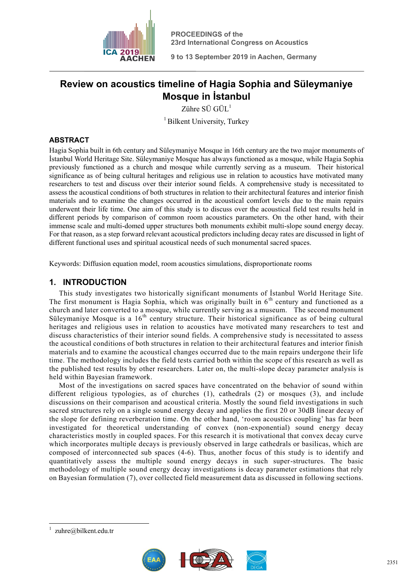

**PROCEEDINGS of the 23rd International Congress on Acoustics** 

**9 to 13 September 2019 in Aachen, Germany**

# **Review on acoustics timeline of Hagia Sophia and Süleymaniye Mosque in İstanbul**

Zühre  $SÜ$   $GÜL<sup>1</sup>$ 

<sup>1</sup> Bilkent University, Turkey

# **ABSTRACT**

Hagia Sophia built in 6th century and Süleymaniye Mosque in 16th century are the two major monuments of İstanbul World Heritage Site. Süleymaniye Mosque has always functioned as a mosque, while Hagia Sophia previously functioned as a church and mosque while currently serving as a museum. Their historical significance as of being cultural heritages and religious use in relation to acoustics have motivated many researchers to test and discuss over their interior sound fields. A comprehensive study is necessitated to assess the acoustical conditions of both structures in relation to their architectural features and interior finish materials and to examine the changes occurred in the acoustical comfort levels due to the main repairs underwent their life time. One aim of this study is to discuss over the acoustical field test results held in different periods by comparison of common room acoustics parameters. On the other hand, with their immense scale and multi-domed upper structures both monuments exhibit multi-slope sound energy decay. For that reason, as a step forward relevant acoustical predictors including decay rates are discussed in light of different functional uses and spiritual acoustical needs of such monumental sacred spaces.

Keywords: Diffusion equation model, room acoustics simulations, disproportionate rooms

# **1. INTRODUCTION**

This study investigates two historically significant monuments of İstanbul World Heritage Site. The first monument is Hagia Sophia, which was originally built in  $6<sup>th</sup>$  century and functioned as a church and later converted to a mosque, while currently serving as a museum. The second monument Süleymaniye Mosque is a  $16<sup>th</sup>$  century structure. Their historical significance as of being cultural heritages and religious uses in relation to acoustics have motivated many researchers to test and discuss characteristics of their interior sound fields. A comprehensive study is necessitated to assess the acoustical conditions of both structures in relation to their architectural features and interior finish materials and to examine the acoustical changes occurred due to the main repairs undergone their life time. The methodology includes the field tests carried both within the scope of this research as well as the published test results by other researchers. Later on, the multi-slope decay parameter analysis is held within Bayesian framework.

Most of the investigations on sacred spaces have concentrated on the behavior of sound within different religious typologies, as of churches (1), cathedrals (2) or mosques (3), and include discussions on their comparison and acoustical criteria. Mostly the sound field investigations in such sacred structures rely on a single sound energy decay and applies the first 20 or 30dB linear decay of the slope for defining reverberation time. On the other hand, 'room acoustics coupling' has far been investigated for theoretical understanding of convex (non-exponential) sound energy decay characteristics mostly in coupled spaces. For this research it is motivational that convex decay curve which incorporates multiple decays is previously observed in large cathedrals or basilicas, which are composed of interconnected sub spaces (4-6). Thus, another focus of this study is to identify and quantitatively assess the multiple sound energy decays in such super-structures. The basic methodology of multiple sound energy decay investigations is decay parameter estimations that rely on Bayesian formulation (7), over collected field measurement data as discussed in following sections.

<u>.</u>



<sup>1</sup> zuhre@bilkent.edu.tr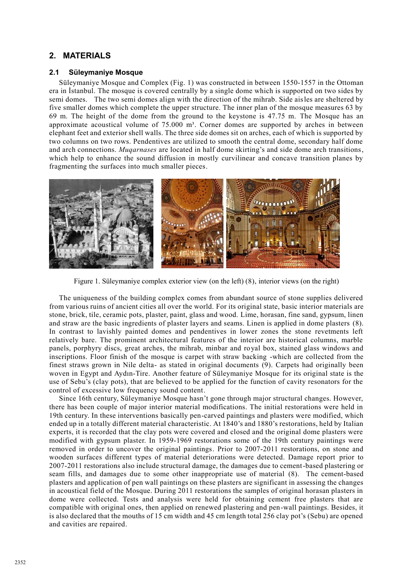# **2. MATERIALS**

## **2.1 Süleymaniye Mosque**

Süleymaniye Mosque and Complex (Fig. 1) was constructed in between 1550-1557 in the Ottoman era in İstanbul. The mosque is covered centrally by a single dome which is supported on two sides by semi domes. The two semi domes align with the direction of the mihrab. Side aisles are sheltered by five smaller domes which complete the upper structure. The inner plan of the mosque measures 63 by 69 m. The height of the dome from the ground to the keystone is 47.75 m. The Mosque has an approximate acoustical volume of  $75.000 \text{ m}^3$ . Corner domes are supported by arches in between elephant feet and exterior shell walls. The three side domes sit on arches, each of which is supported by two columns on two rows. Pendentives are utilized to smooth the central dome, secondary half dome and arch connections. *Muqarnases* are located in half dome skirting's and side dome arch transitions, which help to enhance the sound diffusion in mostly curvilinear and concave transition planes by fragmenting the surfaces into much smaller pieces.



Figure 1. Süleymaniye complex exterior view (on the left) (8), interior views (on the right)

The uniqueness of the building complex comes from abundant source of stone supplies delivered from various ruins of ancient cities all over the world. For its original state, basic interior materials are stone, brick, tile, ceramic pots, plaster, paint, glass and wood. Lime, horasan, fine sand, gypsum, linen and straw are the basic ingredients of plaster layers and seams. Linen is applied in dome plasters (8). In contrast to lavishly painted domes and pendentives in lower zones the stone revetments left relatively bare. The prominent architectural features of the interior are historical columns, marble panels, porphyry discs, great arches, the mihrab, minbar and royal box, stained glass windows and inscriptions. Floor finish of the mosque is carpet with straw backing -which are collected from the finest straws grown in Nile delta- as stated in original documents (9). Carpets had originally been woven in Egypt and Aydın-Tire. Another feature of Süleymaniye Mosque for its original state is the use of Sebu's (clay pots), that are believed to be applied for the function of cavity resonators for the control of excessive low frequency sound content.

Since 16th century, Süleymaniye Mosque hasn't gone through major structural changes. However, there has been couple of major interior material modifications. The initial restorations were held in 19th century. In these interventions basically pen-carved paintings and plasters were modified, which ended up in a totally different material characteristic. At 1840's and 1880's restorations, held by Italian experts, it is recorded that the clay pots were covered and closed and the original dome plasters were modified with gypsum plaster. In 1959-1969 restorations some of the 19th century paintings were removed in order to uncover the original paintings. Prior to 2007-2011 restorations, on stone and wooden surfaces different types of material deteriorations were detected. Damage report prior to 2007-2011 restorations also include structural damage, the damages due to cement-based plastering or seam fills, and damages due to some other inappropriate use of material (8). The cement-based plasters and application of pen wall paintings on these plasters are significant in assessing the changes in acoustical field of the Mosque. During 2011 restorations the samples of original horasan plasters in dome were collected. Tests and analysis were held for obtaining cement free plasters that are compatible with original ones, then applied on renewed plastering and pen-wall paintings. Besides, it is also declared that the mouths of 15 cm width and 45 cm length total 256 clay pot's (Sebu) are opened and cavities are repaired.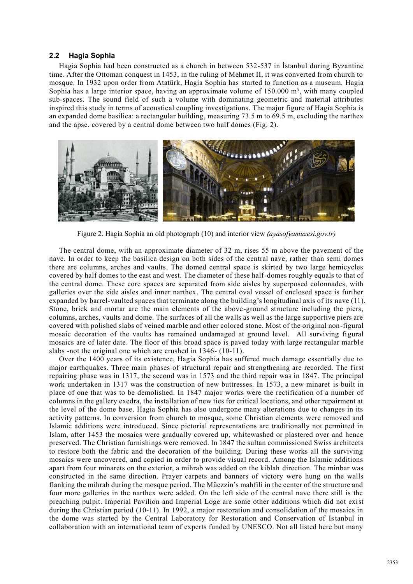#### **2.2 Hagia Sophia**

Hagia Sophia had been constructed as a church in between 532-537 in İstanbul during Byzantine time. After the Ottoman conquest in 1453, in the ruling of Mehmet II, it was converted from church to mosque. In 1932 upon order from Atatürk, Hagia Sophia has started to function as a museum. Hagia Sophia has a large interior space, having an approximate volume of  $150.000 \text{ m}^3$ , with many coupled sub-spaces. The sound field of such a volume with dominating geometric and material attributes inspired this study in terms of acoustical coupling investigations. The major figure of Hagia Sophia is an expanded dome basilica: a rectangular building, measuring 73.5 m to 69.5 m, excluding the narthex and the apse, covered by a central dome between two half domes (Fig. 2).



Figure 2. Hagia Sophia an old photograph (10) and interior view *(ayasofyamuzesi.gov.tr)*

The central dome, with an approximate diameter of 32 m, rises 55 m above the pavement of the nave. In order to keep the basilica design on both sides of the central nave, rather than semi domes there are columns, arches and vaults. The domed central space is skirted by two large hemicycles covered by half domes to the east and west. The diameter of these half-domes roughly equals to that of the central dome. These core spaces are separated from side aisles by superposed colonnades, with galleries over the side aisles and inner narthex. The central oval vessel of enclosed space is further expanded by barrel-vaulted spaces that terminate along the building's longitudinal axis of its nave (11). Stone, brick and mortar are the main elements of the above-ground structure including the piers, columns, arches, vaults and dome. The surfaces of all the walls as well as the large supportive piers are covered with polished slabs of veined marble and other colored stone. Most of the original non-figural mosaic decoration of the vaults has remained undamaged at ground level. All surviving figural mosaics are of later date. The floor of this broad space is paved today with large rectangular marble slabs -not the original one which are crushed in 1346- (10-11).

Over the 1400 years of its existence, Hagia Sophia has suffered much damage essentially due to major earthquakes. Three main phases of structural repair and strengthening are recorded. The first repairing phase was in 1317, the second was in 1573 and the third repair was in 1847. The principal work undertaken in 1317 was the construction of new buttresses. In 1573, a new minaret is built in place of one that was to be demolished. In 1847 major works were the rectification of a number of columns in the gallery exedra, the installation of new ties for critical locations, and other repairment at the level of the dome base. Hagia Sophia has also undergone many alterations due to changes in its activity patterns. In conversion from church to mosque, some Christian elements were removed and Islamic additions were introduced. Since pictorial representations are traditionally not permitted in Islam, after 1453 the mosaics were gradually covered up, whitewashed or plastered over and hence preserved. The Christian furnishings were removed. In 1847 the sultan commissioned Swiss architects to restore both the fabric and the decoration of the building. During these works all the surviving mosaics were uncovered, and copied in order to provide visual record. Among the Islamic additions apart from four minarets on the exterior, a mihrab was added on the kiblah direction. The minbar was constructed in the same direction. Prayer carpets and banners of victory were hung on the walls flanking the mihrab during the mosque period. The Müezzin's mahfili in the center of the structure and four more galleries in the narthex were added. On the left side of the central nave there still is the preaching pulpit. Imperial Pavilion and Imperial Loge are some other additions which did not exist during the Christian period (10-11). In 1992, a major restoration and consolidation of the mosaics in the dome was started by the Central Laboratory for Restoration and Conservation of Istanbul in collaboration with an international team of experts funded by UNESCO. Not all listed here but many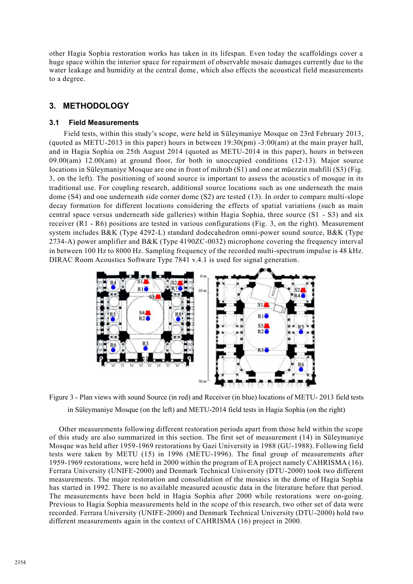other Hagia Sophia restoration works has taken in its lifespan. Even today the scaffoldings cover a huge space within the interior space for repairment of observable mosaic damages currently due to the water leakage and humidity at the central dome, which also effects the acoustical field measurements to a degree.

# **3. METHODOLOGY**

## **3.1 Field Measurements**

Field tests, within this study's scope, were held in Süleymaniye Mosque on 23rd February 2013, (quoted as METU-2013 in this paper) hours in between 19:30(pm) -3:00(am) at the main prayer hall, and in Hagia Sophia on 25th August 2014 (quoted as METU-2014 in this paper), hours in between 09.00(am) 12.00(am) at ground floor, for both in unoccupied conditions (12-13). Major source locations in Süleymaniye Mosque are one in front of mihrab (S1) and one at müezzin mahfili (S3) (Fig. 3, on the left). The positioning of sound source is important to assess the acoustic s of mosque in its traditional use. For coupling research, additional source locations such as one underneath the main dome (S4) and one underneath side corner dome (S2) are tested (13). In order to compare multi-slope decay formation for different locations considering the effects of spatial variations (such as main central space versus underneath side galleries) within Hagia Sophia, three source (S1 - S3) and six receiver (R1 - R6) positions are tested in various configurations (Fig. 3, on the right). Measurement system includes B&K (Type 4292-L) standard dodecahedron omni-power sound source, B&K (Type 2734-A) power amplifier and B&K (Type 4190ZC-0032) microphone covering the frequency interval in between 100 Hz to 8000 Hz. Sampling frequency of the recorded multi-spectrum impulse is 48 kHz. DIRAC Room Acoustics Software Type 7841 v.4.1 is used for signal generation.



Figure 3 - Plan views with sound Source (in red) and Receiver (in blue) locations of METU- 2013 field tests in Süleymaniye Mosque (on the left) and METU-2014 field tests in Hagia Sophia (on the right)

Other measurements following different restoration periods apart from those held within the scope of this study are also summarized in this section. The first set of measurement (14) in Süleymaniye Mosque was held after 1959-1969 restorations by Gazi University in 1988 (GU-1988). Following field tests were taken by METU (15) in 1996 (METU-1996). The final group of measurements after 1959-1969 restorations, were held in 2000 within the program of EA project namely CAHRISMA (16). Ferrara University (UNIFE-2000) and Denmark Technical University (DTU-2000) took two different measurements. The major restoration and consolidation of the mosaics in the dome of Hagia Sophia has started in 1992. There is no available measured acoustic data in the literature before that period. The measurements have been held in Hagia Sophia after 2000 while restorations were on-going. Previous to Hagia Sophia measurements held in the scope of this research, two other set of data were recorded. Ferrara University (UNIFE-2000) and Denmark Technical University (DTU-2000) hold two different measurements again in the context of CAHRISMA (16) project in 2000.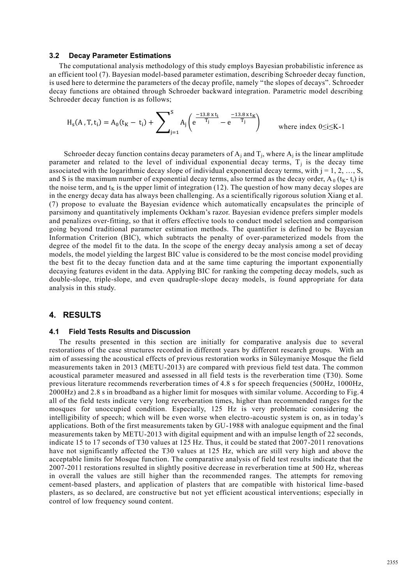#### **3.2 Decay Parameter Estimations**

The computational analysis methodology of this study employs Bayesian probabilistic inference as an efficient tool (7). Bayesian model-based parameter estimation, describing Schroeder decay function, is used here to determine the parameters of the decay profile, namely "the slopes of decays". Schroeder decay functions are obtained through Schroeder backward integration. Parametric model describing Schroeder decay function is as follows;

$$
H_s(A, T, t_i) = A_0(t_K - t_i) + \sum_{j=1}^{S} A_j \left( e^{\frac{-13.8 \times t_i}{T_j}} - e^{\frac{-13.8 \times t_K}{T_j}} \right) \qquad \text{where index } 0 \le i \le K - 1
$$

Schroeder decay function contains decay parameters of  $A_j$  and  $T_j$ , where  $A_j$  is the linear amplitude parameter and related to the level of individual exponential decay terms,  $T_j$  is the decay time associated with the logarithmic decay slope of individual exponential decay terms, with  $j = 1, 2, ..., S$ , and S is the maximum number of exponential decay terms, also termed as the decay order,  $A_0$  ( $t_K$ - $t_i$ ) is the noise term, and  $t<sub>K</sub>$  is the upper limit of integration (12). The question of how many decay slopes are in the energy decay data has always been challenging. As a scientifically rigorous solution Xiang et al. (7) propose to evaluate the Bayesian evidence which automatically encapsulates the principle of parsimony and quantitatively implements Ockham's razor. Bayesian evidence prefers simpler models and penalizes over-fitting, so that it offers effective tools to conduct model selection and comparison going beyond traditional parameter estimation methods. The quantifier is defined to be Bayesian Information Criterion (BIC), which subtracts the penalty of over-parameterized models from the degree of the model fit to the data. In the scope of the energy decay analysis among a set of decay models, the model yielding the largest BIC value is considered to be the most concise model providing the best fit to the decay function data and at the same time capturing the important exponentially decaying features evident in the data. Applying BIC for ranking the competing decay models, such as double-slope, triple-slope, and even quadruple-slope decay models, is found appropriate for data analysis in this study.

# **4. RESULTS**

#### **4.1 Field Tests Results and Discussion**

The results presented in this section are initially for comparative analysis due to several restorations of the case structures recorded in different years by different research groups. With an aim of assessing the acoustical effects of previous restoration works in Süleymaniye Mosque the field measurements taken in 2013 (METU-2013) are compared with previous field test data. The common acoustical parameter measured and assessed in all field tests is the reverberation time (T30). Some previous literature recommends reverberation times of 4.8 s for speech frequencies (500Hz, 1000Hz, 2000Hz) and 2.8 s in broadband as a higher limit for mosques with similar volume. According to Fig.4 all of the field tests indicate very long reverberation times, higher than recommended ranges for the mosques for unoccupied condition. Especially, 125 Hz is very problematic considering the intelligibility of speech; which will be even worse when electro-acoustic system is on, as in today's applications. Both of the first measurements taken by GU-1988 with analogue equipment and the final measurements taken by METU-2013 with digital equipment and with an impulse length of 22 seconds, indicate 15 to 17 seconds of T30 values at 125 Hz. Thus, it could be stated that 2007-2011 renovations have not significantly affected the T30 values at 125 Hz, which are still very high and above the acceptable limits for Mosque function. The comparative analysis of field test results indicate that the 2007-2011 restorations resulted in slightly positive decrease in reverberation time at 500 Hz, whereas in overall the values are still higher than the recommended ranges. The attempts for removing cement-based plasters, and application of plasters that are compatible with historical lime -based plasters, as so declared, are constructive but not yet efficient acoustical interventions; especially in control of low frequency sound content.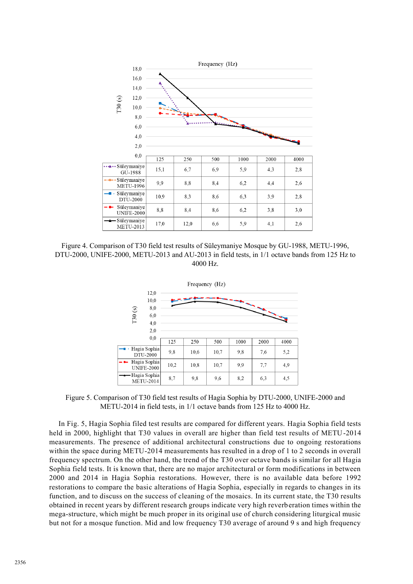

Figure 4. Comparison of T30 field test results of Süleymaniye Mosque by GU-1988, METU-1996, DTU-2000, UNIFE-2000, METU-2013 and AU-2013 in field tests, in 1/1 octave bands from 125 Hz to 4000 Hz.



Figure 5. Comparison of T30 field test results of Hagia Sophia by DTU-2000, UNIFE-2000 and METU-2014 in field tests, in 1/1 octave bands from 125 Hz to 4000 Hz.

In Fig. 5, Hagia Sophia filed test results are compared for different years. Hagia Sophia field tests held in 2000, highlight that T30 values in overall are higher than field test results of METU-2014 measurements. The presence of additional architectural constructions due to ongoing restorations within the space during METU-2014 measurements has resulted in a drop of 1 to 2 seconds in overall frequency spectrum. On the other hand, the trend of the T30 over octave bands is similar for all Hagia Sophia field tests. It is known that, there are no major architectural or form modifications in between 2000 and 2014 in Hagia Sophia restorations. However, there is no available data before 1992 restorations to compare the basic alterations of Hagia Sophia, especially in regards to changes in its function, and to discuss on the success of cleaning of the mosaics. In its current state, the T30 results obtained in recent years by different research groups indicate very high reverberation times within the mega-structure, which might be much proper in its original use of church considering liturgical music but not for a mosque function. Mid and low frequency T30 average of around 9 s and high frequency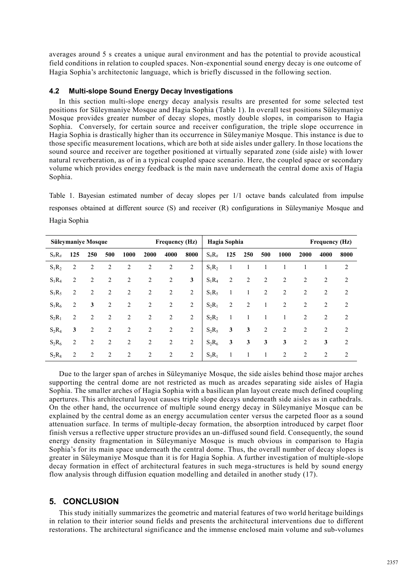averages around 5 s creates a unique aural environment and has the potential to provide acoustical field conditions in relation to coupled spaces. Non-exponential sound energy decay is one outcome of Hagia Sophia's architectonic language, which is briefly discussed in the following section.

## **4.2 Multi-slope Sound Energy Decay Investigations**

In this section multi-slope energy decay analysis results are presented for some selected test positions for Süleymaniye Mosque and Hagia Sophia (Table 1). In overall test positions Süleymaniye Mosque provides greater number of decay slopes, mostly double slopes, in comparison to Hagia Sophia. Conversely, for certain source and receiver configuration, the triple slope occurrence in Hagia Sophia is drastically higher than its occurrence in Süleymaniye Mosque. This instance is due to those specific measurement locations, which are both at side aisles under gallery. In those locations the sound source and receiver are together positioned at virtually separated zone (side aisle) with lower natural reverberation, as of in a typical coupled space scenario. Here, the coupled space or secondary volume which provides energy feedback is the main nave underneath the central dome axis of Hagia Sophia.

Table 1. Bayesian estimated number of decay slopes per 1/1 octave bands calculated from impulse responses obtained at different source (S) and receiver (R) configurations in Süleymaniye Mosque and Hagia Sophia

| <b>Frequency (Hz)</b><br><b>Süleymaniye Mosque</b> |                |                |                |                |                |                |              | Hagia Sophia<br><b>Frequency (Hz)</b> |                |                |                |                |                |                |      |
|----------------------------------------------------|----------------|----------------|----------------|----------------|----------------|----------------|--------------|---------------------------------------|----------------|----------------|----------------|----------------|----------------|----------------|------|
| $S_{\#}R_{\#}$                                     | 125            | 250            | 500            | 1000           | 2000           | 4000           | 8000         | $S_{\#}R_{\#}$                        | 125            | 250            | 500            | 1000           | 2000           | 4000           | 8000 |
| $S_1R_2$                                           | 2              | 2              | $\overline{c}$ | $\overline{2}$ | $\overline{2}$ | 2              | 2            | $S_1R_2$                              | $\mathbf{1}$   |                |                |                |                |                | 2    |
| $S_1R_4$                                           | $\overline{2}$ | $\overline{2}$ | 2              | $\overline{2}$ | 2              | 2              | $\mathbf{3}$ | $S_1R_4$                              | $\overline{2}$ | $\overline{2}$ | 2              | $\overline{2}$ | 2              | 2              | 2    |
| $S_1R_5$                                           | 2              | $\overline{2}$ | $\overline{c}$ | 2              | $\overline{2}$ | 2              | 2            | $S_1R_5$                              | $\mathbf{1}$   | 1              | 2              | $\overline{2}$ | 2              | 2              | 2    |
| $S_1R_6$                                           | 2              | 3              | 2              | 2              | 2              | 2              | 2            | $S_2R_1$                              | $\overline{2}$ | $\overline{2}$ |                | $\overline{c}$ | 2              | 2              | 2    |
| $S_2R_1$                                           | 2              | $\overline{c}$ | $\overline{2}$ | 2              | $\overline{2}$ | 2              | 2            | $S_2R_2$                              | $\mathbf{1}$   | 1              |                | 1              | 2              | 2              | 2    |
| $S_2R_4$                                           | 3              | 2              | $\overline{2}$ | 2              | 2              | 2              | 2            | $S_2R_5$                              | 3              | 3              | $\overline{2}$ | 2              | 2              | $\overline{2}$ | 2    |
| $S_2R_6$                                           | $\overline{2}$ | $\overline{2}$ | 2              | $\overline{2}$ | $\overline{2}$ | 2              | 2            | $S_2R_6$                              | 3              | 3              | 3              | 3              | $\overline{2}$ | 3              | 2    |
| $S_2R_8$                                           | $\overline{2}$ | 2              | $\overline{2}$ | $\overline{2}$ | $\overline{2}$ | $\overline{2}$ | 2            | $S_3R_1$                              | 1              |                |                | $\overline{2}$ | $\overline{2}$ | 2              | 2    |

Due to the larger span of arches in Süleymaniye Mosque, the side aisles behind those major arches supporting the central dome are not restricted as much as arcades separating side aisles of Hagia Sophia. The smaller arches of Hagia Sophia with a basilican plan layout create much defined coupling apertures. This architectural layout causes triple slope decays underneath side aisles as in cathedrals. On the other hand, the occurrence of multiple sound energy decay in Süleymaniye Mosque can be explained by the central dome as an energy accumulation center versus the carpeted floor as a sound attenuation surface. In terms of multiple-decay formation, the absorption introduced by carpet floor finish versus a reflective upper structure provides an un-diffused sound field. Consequently, the sound energy density fragmentation in Süleymaniye Mosque is much obvious in comparison to Hagia Sophia's for its main space underneath the central dome. Thus, the overall number of decay slopes is greater in Süleymaniye Mosque than it is for Hagia Sophia. A further investigation of multiple-slope decay formation in effect of architectural features in such mega-structures is held by sound energy flow analysis through diffusion equation modelling and detailed in another study (17).

# **5. CONCLUSION**

This study initially summarizes the geometric and material features of two world heritage buildings in relation to their interior sound fields and presents the architectural interventions due to different restorations. The architectural significance and the immense enclosed main volume and sub-volumes